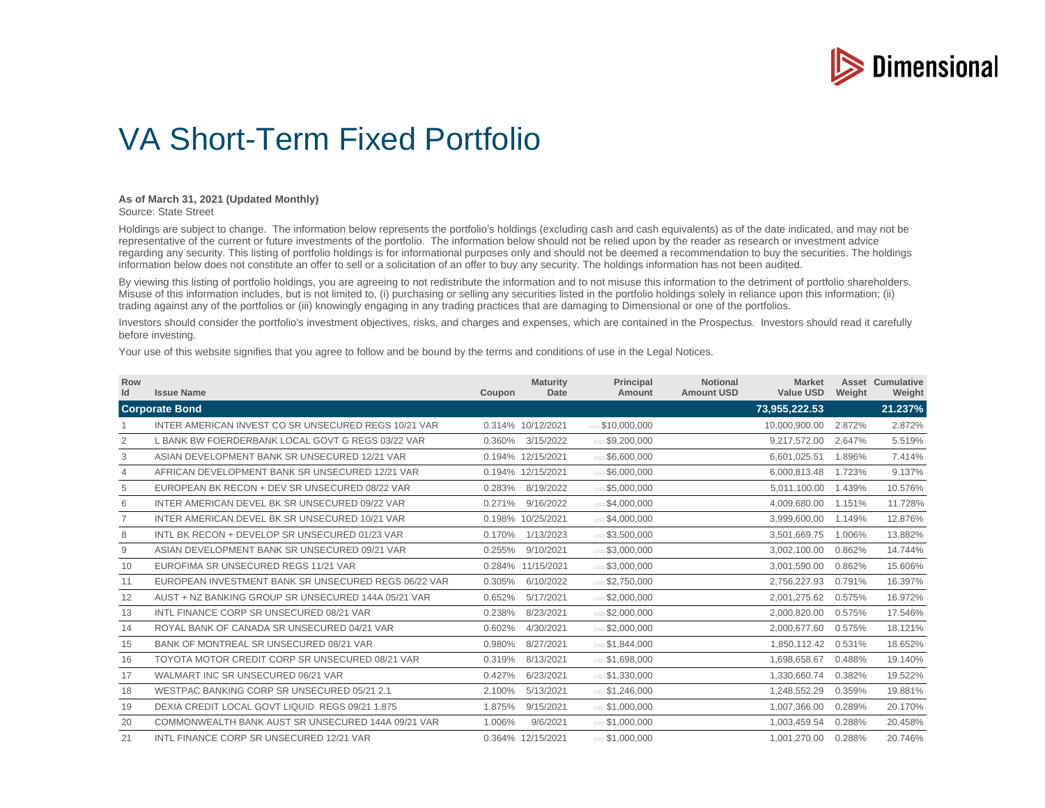

## VA Short-Term Fixed Portfolio

## **As of March 31, 2021 (Updated Monthly)**

Source: State Street

Holdings are subject to change. The information below represents the portfolio's holdings (excluding cash and cash equivalents) as of the date indicated, and may not be representative of the current or future investments of the portfolio. The information below should not be relied upon by the reader as research or investment advice regarding any security. This listing of portfolio holdings is for informational purposes only and should not be deemed a recommendation to buy the securities. The holdings information below does not constitute an offer to sell or a solicitation of an offer to buy any security. The holdings information has not been audited.

By viewing this listing of portfolio holdings, you are agreeing to not redistribute the information and to not misuse this information to the detriment of portfolio shareholders. Misuse of this information includes, but is not limited to, (i) purchasing or selling any securities listed in the portfolio holdings solely in reliance upon this information; (ii) trading against any of the portfolios or (iii) knowingly engaging in any trading practices that are damaging to Dimensional or one of the portfolios.

Investors should consider the portfolio's investment objectives, risks, and charges and expenses, which are contained in the Prospectus. Investors should read it carefully before investing.

Your use of this website signifies that you agree to follow and be bound by the terms and conditions of use in the Legal Notices.

| Row<br>Id      | <b>Issue Name</b>                                    | Coupon | <b>Maturity</b><br>Date | <b>Principal</b><br>Amount | <b>Notional</b><br><b>Amount USD</b> | <b>Market</b><br><b>Value USD</b> | Weight | <b>Asset Cumulative</b><br>Weight |
|----------------|------------------------------------------------------|--------|-------------------------|----------------------------|--------------------------------------|-----------------------------------|--------|-----------------------------------|
|                | <b>Corporate Bond</b>                                |        |                         |                            |                                      | 73,955,222.53                     |        | 21.237%                           |
|                | INTER AMERICAN INVEST CO SR UNSECURED REGS 10/21 VAR |        | 0.314% 10/12/2021       | USD \$10.000.000           |                                      | 10,000,900.00                     | 2.872% | 2.872%                            |
| 2              | L BANK BW FOERDERBANK LOCAL GOVT G REGS 03/22 VAR    | 0.360% | 3/15/2022               | USD \$9,200,000            |                                      | 9,217,572.00                      | 2.647% | 5.519%                            |
| 3              | ASIAN DEVELOPMENT BANK SR UNSECURED 12/21 VAR        |        | 0.194% 12/15/2021       | USD \$6,600,000            |                                      | 6,601,025.51                      | 1.896% | 7.414%                            |
| $\overline{4}$ | AFRICAN DEVELOPMENT BANK SR UNSECURED 12/21 VAR      |        | 0.194% 12/15/2021       | USD \$6,000,000            |                                      | 6,000,813.48                      | 1.723% | 9.137%                            |
| 5              | EUROPEAN BK RECON + DEV SR UNSECURED 08/22 VAR       | 0.283% | 8/19/2022               | USD \$5,000,000            |                                      | 5,011,100.00                      | 1.439% | 10.576%                           |
| 6              | INTER AMERICAN DEVEL BK SR UNSECURED 09/22 VAR       | 0.271% | 9/16/2022               | USD \$4,000,000            |                                      | 4,009,680.00                      | 1.151% | 11.728%                           |
|                | INTER AMERICAN DEVEL BK SR UNSECURED 10/21 VAR       |        | 0.198% 10/25/2021       | USD \$4,000,000            |                                      | 3,999,600.00                      | 1.149% | 12.876%                           |
| 8              | INTL BK RECON + DEVELOP SR UNSECURED 01/23 VAR       | 0.170% | 1/13/2023               | USD \$3,500,000            |                                      | 3,501,669.75                      | 1.006% | 13.882%                           |
| 9              | ASIAN DEVELOPMENT BANK SR UNSECURED 09/21 VAR        | 0.255% | 9/10/2021               | USD \$3.000.000            |                                      | 3,002,100.00                      | 0.862% | 14.744%                           |
| 10             | EUROFIMA SR UNSECURED REGS 11/21 VAR                 |        | 0.284% 11/15/2021       | <b>USD \$3.000.000</b>     |                                      | 3,001,590.00                      | 0.862% | 15.606%                           |
| 11             | EUROPEAN INVESTMENT BANK SR UNSECURED REGS 06/22 VAR | 0.305% | 6/10/2022               | USD \$2,750,000            |                                      | 2,756,227.93                      | 0.791% | 16.397%                           |
| 12             | AUST + NZ BANKING GROUP SR UNSECURED 144A 05/21 VAR  | 0.652% | 5/17/2021               | USD \$2,000,000            |                                      | 2,001,275.62                      | 0.575% | 16.972%                           |
| 13             | INTL FINANCE CORP SR UNSECURED 08/21 VAR             | 0.238% | 8/23/2021               | USD \$2,000,000            |                                      | 2,000,820.00                      | 0.575% | 17.546%                           |
| 14             | ROYAL BANK OF CANADA SR UNSECURED 04/21 VAR          | 0.602% | 4/30/2021               | USD \$2,000,000            |                                      | 2,000,677.60                      | 0.575% | 18.121%                           |
| 15             | BANK OF MONTREAL SR UNSECURED 08/21 VAR              | 0.980% | 8/27/2021               | USD \$1.844.000            |                                      | 1,850,112.42                      | 0.531% | 18.652%                           |
| 16             | TOYOTA MOTOR CREDIT CORP SR UNSECURED 08/21 VAR      | 0.319% | 8/13/2021               | USD \$1,698,000            |                                      | 1,698,658.67                      | 0.488% | 19.140%                           |
| 17             | WALMART INC SR UNSECURED 06/21 VAR                   | 0.427% | 6/23/2021               | USD \$1,330,000            |                                      | 1,330,660.74                      | 0.382% | 19.522%                           |
| 18             | WESTPAC BANKING CORP SR UNSECURED 05/21 2.1          | 2.100% | 5/13/2021               | USD \$1,246,000            |                                      | 1,248,552.29                      | 0.359% | 19.881%                           |
| 19             | DEXIA CREDIT LOCAL GOVT LIQUID REGS 09/21 1.875      | 1.875% | 9/15/2021               | <b>USD \$1.000.000</b>     |                                      | 1,007,366.00                      | 0.289% | 20.170%                           |
| 20             | COMMONWEALTH BANK AUST SR UNSECURED 144A 09/21 VAR   | 1.006% | 9/6/2021                | USD \$1,000,000            |                                      | 1,003,459.54                      | 0.288% | 20.458%                           |
| 21             | INTL FINANCE CORP SR UNSECURED 12/21 VAR             |        | 0.364% 12/15/2021       | USD \$1,000,000            |                                      | 1,001,270.00                      | 0.288% | 20.746%                           |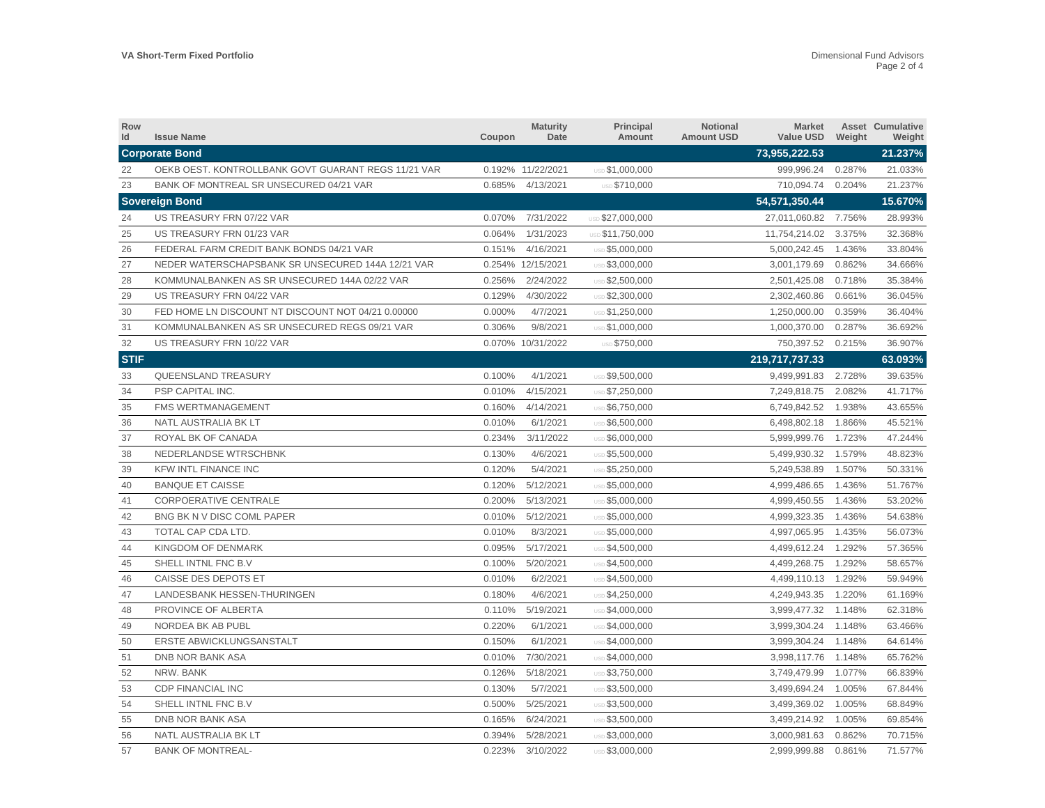| Row<br>Id   | <b>Issue Name</b>                                   | Coupon | <b>Maturity</b><br>Date | Principal<br>Amount    | Notional<br><b>Amount USD</b> | <b>Market</b><br><b>Value USD</b> | Weight | <b>Asset Cumulative</b><br>Weight |
|-------------|-----------------------------------------------------|--------|-------------------------|------------------------|-------------------------------|-----------------------------------|--------|-----------------------------------|
|             | <b>Corporate Bond</b>                               |        |                         |                        |                               | 73.955.222.53                     |        | 21.237%                           |
| 22          | OEKB OEST. KONTROLLBANK GOVT GUARANT REGS 11/21 VAR |        | 0.192% 11/22/2021       | <b>USD \$1,000,000</b> |                               | 999,996.24                        | 0.287% | 21.033%                           |
| 23          | BANK OF MONTREAL SR UNSECURED 04/21 VAR             | 0.685% | 4/13/2021               | USD \$710,000          |                               | 710,094.74                        | 0.204% | 21.237%                           |
|             | <b>Sovereign Bond</b>                               |        |                         |                        |                               | 54,571,350.44                     |        | 15.670%                           |
| 24          | US TREASURY FRN 07/22 VAR                           | 0.070% | 7/31/2022               | USD \$27,000,000       |                               | 27,011,060.82                     | 7.756% | 28.993%                           |
| 25          | US TREASURY FRN 01/23 VAR                           | 0.064% | 1/31/2023               | USD \$11,750,000       |                               | 11,754,214.02                     | 3.375% | 32.368%                           |
| 26          | FEDERAL FARM CREDIT BANK BONDS 04/21 VAR            | 0.151% | 4/16/2021               | USD \$5,000,000        |                               | 5,000,242.45                      | 1.436% | 33.804%                           |
| 27          | NEDER WATERSCHAPSBANK SR UNSECURED 144A 12/21 VAR   |        | 0.254% 12/15/2021       | USD \$3,000,000        |                               | 3,001,179.69                      | 0.862% | 34.666%                           |
| 28          | KOMMUNALBANKEN AS SR UNSECURED 144A 02/22 VAR       | 0.256% | 2/24/2022               | USD \$2,500,000        |                               | 2,501,425.08                      | 0.718% | 35.384%                           |
| 29          | US TREASURY FRN 04/22 VAR                           | 0.129% | 4/30/2022               | USD \$2,300,000        |                               | 2,302,460.86                      | 0.661% | 36.045%                           |
| 30          | FED HOME LN DISCOUNT NT DISCOUNT NOT 04/21 0.00000  | 0.000% | 4/7/2021                | USD \$1,250,000        |                               | 1,250,000.00                      | 0.359% | 36.404%                           |
| 31          | KOMMUNALBANKEN AS SR UNSECURED REGS 09/21 VAR       | 0.306% | 9/8/2021                | USD \$1,000,000        |                               | 1,000,370.00                      | 0.287% | 36.692%                           |
| 32          | US TREASURY FRN 10/22 VAR                           |        | 0.070% 10/31/2022       | USD \$750,000          |                               | 750,397.52                        | 0.215% | 36.907%                           |
| <b>STIF</b> |                                                     |        |                         |                        |                               | 219,717,737.33                    |        | 63.093%                           |
| 33          | <b>QUEENSLAND TREASURY</b>                          | 0.100% | 4/1/2021                | USD \$9,500,000        |                               | 9,499,991.83                      | 2.728% | 39.635%                           |
| 34          | PSP CAPITAL INC.                                    | 0.010% | 4/15/2021               | USD \$7,250,000        |                               | 7,249,818.75                      | 2.082% | 41.717%                           |
| 35          | FMS WERTMANAGEMENT                                  | 0.160% | 4/14/2021               | USD \$6,750,000        |                               | 6,749,842.52                      | 1.938% | 43.655%                           |
| 36          | NATL AUSTRALIA BK LT                                | 0.010% | 6/1/2021                | USD \$6,500,000        |                               | 6,498,802.18                      | 1.866% | 45.521%                           |
| 37          | ROYAL BK OF CANADA                                  | 0.234% | 3/11/2022               | USD \$6,000,000        |                               | 5,999,999.76                      | 1.723% | 47.244%                           |
| 38          | NEDERLANDSE WTRSCHBNK                               | 0.130% | 4/6/2021                | USD \$5,500,000        |                               | 5,499,930.32                      | 1.579% | 48.823%                           |
| 39          | <b>KFW INTL FINANCE INC</b>                         | 0.120% | 5/4/2021                | USD \$5,250,000        |                               | 5,249,538.89                      | 1.507% | 50.331%                           |
| 40          | <b>BANQUE ET CAISSE</b>                             | 0.120% | 5/12/2021               | USD \$5,000,000        |                               | 4,999,486.65                      | 1.436% | 51.767%                           |
| 41          | <b>CORPOERATIVE CENTRALE</b>                        | 0.200% | 5/13/2021               | USD \$5,000,000        |                               | 4,999,450.55                      | 1.436% | 53.202%                           |
| 42          | BNG BK N V DISC COML PAPER                          | 0.010% | 5/12/2021               | USD \$5,000,000        |                               | 4,999,323.35                      | 1.436% | 54.638%                           |
| 43          | TOTAL CAP CDA LTD.                                  | 0.010% | 8/3/2021                | USD \$5,000,000        |                               | 4,997,065.95                      | 1.435% | 56.073%                           |
| 44          | KINGDOM OF DENMARK                                  | 0.095% | 5/17/2021               | USD \$4,500,000        |                               | 4,499,612.24                      | 1.292% | 57.365%                           |
| 45          | SHELL INTNL FNC B.V                                 | 0.100% | 5/20/2021               | USD \$4,500,000        |                               | 4,499,268.75                      | 1.292% | 58.657%                           |
| 46          | CAISSE DES DEPOTS ET                                | 0.010% | 6/2/2021                | USD \$4,500,000        |                               | 4,499,110.13                      | 1.292% | 59.949%                           |
| 47          | LANDESBANK HESSEN-THURINGEN                         | 0.180% | 4/6/2021                | USD \$4,250,000        |                               | 4,249,943.35                      | 1.220% | 61.169%                           |
| 48          | PROVINCE OF ALBERTA                                 | 0.110% | 5/19/2021               | USD \$4,000,000        |                               | 3,999,477.32                      | 1.148% | 62.318%                           |
| 49          | NORDEA BK AB PUBL                                   | 0.220% | 6/1/2021                | USD \$4,000,000        |                               | 3,999,304.24                      | 1.148% | 63.466%                           |
| 50          | ERSTE ABWICKLUNGSANSTALT                            | 0.150% | 6/1/2021                | USD \$4,000,000        |                               | 3,999,304.24                      | 1.148% | 64.614%                           |
| 51          | DNB NOR BANK ASA                                    | 0.010% | 7/30/2021               | USD \$4,000,000        |                               | 3,998,117.76                      | 1.148% | 65.762%                           |
| 52          | NRW. BANK                                           | 0.126% | 5/18/2021               | USD \$3,750,000        |                               | 3,749,479.99                      | 1.077% | 66.839%                           |
| 53          | <b>CDP FINANCIAL INC</b>                            | 0.130% | 5/7/2021                | USD \$3,500,000        |                               | 3,499,694.24                      | 1.005% | 67.844%                           |
| 54          | SHELL INTNL FNC B.V                                 | 0.500% | 5/25/2021               | USD \$3,500,000        |                               | 3,499,369.02                      | 1.005% | 68.849%                           |
| 55          | DNB NOR BANK ASA                                    | 0.165% | 6/24/2021               | USD \$3,500,000        |                               | 3,499,214.92                      | 1.005% | 69.854%                           |
| 56          | NATL AUSTRALIA BK LT                                | 0.394% | 5/28/2021               | USD \$3,000,000        |                               | 3,000,981.63                      | 0.862% | 70.715%                           |
| 57          | <b>BANK OF MONTREAL-</b>                            | 0.223% | 3/10/2022               | USD \$3,000,000        |                               | 2,999,999.88                      | 0.861% | 71.577%                           |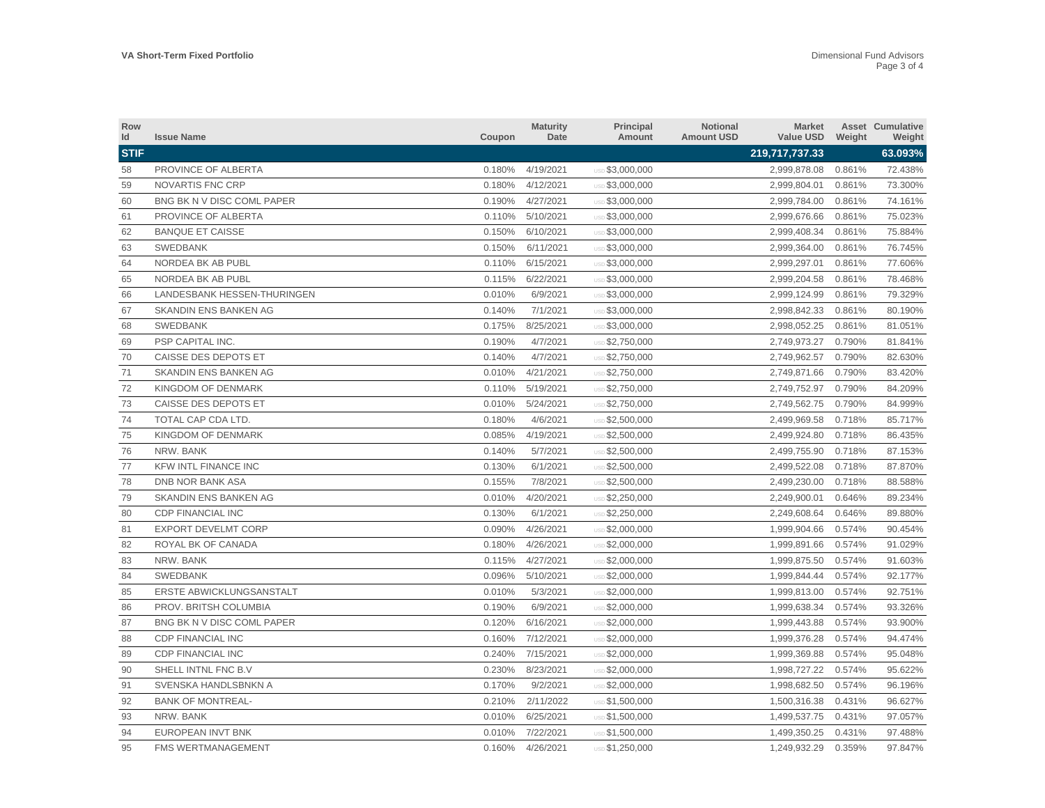| Row<br>Id   | <b>Issue Name</b>            | Coupon | <b>Maturity</b><br>Date | Principal<br>Amount    | Notional<br><b>Amount USD</b> | <b>Market</b><br><b>Value USD</b> | Weight | <b>Asset Cumulative</b><br>Weight |
|-------------|------------------------------|--------|-------------------------|------------------------|-------------------------------|-----------------------------------|--------|-----------------------------------|
| <b>STIF</b> |                              |        |                         |                        |                               | 219,717,737.33                    |        | 63.093%                           |
| 58          | PROVINCE OF ALBERTA          | 0.180% | 4/19/2021               | USD \$3,000,000        |                               | 2,999,878.08                      | 0.861% | 72.438%                           |
| 59          | <b>NOVARTIS FNC CRP</b>      | 0.180% | 4/12/2021               | USD \$3,000,000        |                               | 2,999,804.01                      | 0.861% | 73.300%                           |
| 60          | BNG BK N V DISC COML PAPER   | 0.190% | 4/27/2021               | USD \$3,000,000        |                               | 2,999,784.00                      | 0.861% | 74.161%                           |
| 61          | PROVINCE OF ALBERTA          | 0.110% | 5/10/2021               | USD \$3,000,000        |                               | 2,999,676.66                      | 0.861% | 75.023%                           |
| 62          | <b>BANQUE ET CAISSE</b>      | 0.150% | 6/10/2021               | USD \$3,000,000        |                               | 2,999,408.34                      | 0.861% | 75.884%                           |
| 63          | <b>SWEDBANK</b>              | 0.150% | 6/11/2021               | <b>USD \$3,000,000</b> |                               | 2,999,364.00                      | 0.861% | 76.745%                           |
| 64          | NORDEA BK AB PUBL            | 0.110% | 6/15/2021               | USD \$3,000,000        |                               | 2,999,297.01                      | 0.861% | 77.606%                           |
| 65          | NORDEA BK AB PUBL            | 0.115% | 6/22/2021               | USD \$3,000,000        |                               | 2,999,204.58                      | 0.861% | 78.468%                           |
| 66          | LANDESBANK HESSEN-THURINGEN  | 0.010% | 6/9/2021                | USD \$3,000,000        |                               | 2,999,124.99                      | 0.861% | 79.329%                           |
| 67          | SKANDIN ENS BANKEN AG        | 0.140% | 7/1/2021                | USD \$3,000,000        |                               | 2,998,842.33                      | 0.861% | 80.190%                           |
| 68          | <b>SWEDBANK</b>              | 0.175% | 8/25/2021               | <b>USD \$3,000,000</b> |                               | 2,998,052.25                      | 0.861% | 81.051%                           |
| 69          | PSP CAPITAL INC.             | 0.190% | 4/7/2021                | <b>USD \$2,750,000</b> |                               | 2,749,973.27                      | 0.790% | 81.841%                           |
| 70          | CAISSE DES DEPOTS ET         | 0.140% | 4/7/2021                | <b>USD \$2,750,000</b> |                               | 2,749,962.57                      | 0.790% | 82.630%                           |
| 71          | <b>SKANDIN ENS BANKEN AG</b> | 0.010% | 4/21/2021               | USD \$2,750,000        |                               | 2,749,871.66                      | 0.790% | 83.420%                           |
| 72          | <b>KINGDOM OF DENMARK</b>    | 0.110% | 5/19/2021               | USD \$2,750,000        |                               | 2,749,752.97                      | 0.790% | 84.209%                           |
| 73          | CAISSE DES DEPOTS ET         | 0.010% | 5/24/2021               | USD \$2,750,000        |                               | 2,749,562.75                      | 0.790% | 84.999%                           |
| 74          | TOTAL CAP CDA LTD.           | 0.180% | 4/6/2021                | USD \$2,500,000        |                               | 2,499,969.58                      | 0.718% | 85.717%                           |
| 75          | KINGDOM OF DENMARK           | 0.085% | 4/19/2021               | USD \$2,500,000        |                               | 2,499,924.80                      | 0.718% | 86.435%                           |
| 76          | NRW. BANK                    | 0.140% | 5/7/2021                | USD \$2,500,000        |                               | 2,499,755.90                      | 0.718% | 87.153%                           |
| 77          | KFW INTL FINANCE INC         | 0.130% | 6/1/2021                | USD \$2,500,000        |                               | 2,499,522.08                      | 0.718% | 87.870%                           |
| 78          | <b>DNB NOR BANK ASA</b>      | 0.155% | 7/8/2021                | USD \$2,500,000        |                               | 2,499,230.00                      | 0.718% | 88.588%                           |
| 79          | SKANDIN ENS BANKEN AG        | 0.010% | 4/20/2021               | USD \$2,250,000        |                               | 2,249,900.01                      | 0.646% | 89.234%                           |
| 80          | <b>CDP FINANCIAL INC</b>     | 0.130% | 6/1/2021                | USD \$2,250,000        |                               | 2,249,608.64                      | 0.646% | 89.880%                           |
| 81          | <b>EXPORT DEVELMT CORP</b>   | 0.090% | 4/26/2021               | USD \$2,000,000        |                               | 1,999,904.66                      | 0.574% | 90.454%                           |
| 82          | ROYAL BK OF CANADA           | 0.180% | 4/26/2021               | USD \$2,000,000        |                               | 1,999,891.66                      | 0.574% | 91.029%                           |
| 83          | NRW. BANK                    | 0.115% | 4/27/2021               | USD \$2,000,000        |                               | 1,999,875.50                      | 0.574% | 91.603%                           |
| 84          | <b>SWEDBANK</b>              | 0.096% | 5/10/2021               | USD \$2,000,000        |                               | 1,999,844.44                      | 0.574% | 92.177%                           |
| 85          | ERSTE ABWICKLUNGSANSTALT     | 0.010% | 5/3/2021                | USD \$2,000,000        |                               | 1,999,813.00                      | 0.574% | 92.751%                           |
| 86          | PROV. BRITSH COLUMBIA        | 0.190% | 6/9/2021                | <b>USD \$2,000,000</b> |                               | 1,999,638.34                      | 0.574% | 93.326%                           |
| 87          | BNG BK N V DISC COML PAPER   | 0.120% | 6/16/2021               | USD \$2,000,000        |                               | 1,999,443.88                      | 0.574% | 93.900%                           |
| 88          | <b>CDP FINANCIAL INC</b>     | 0.160% | 7/12/2021               | <b>USD \$2,000,000</b> |                               | 1,999,376.28                      | 0.574% | 94.474%                           |
| 89          | <b>CDP FINANCIAL INC</b>     | 0.240% | 7/15/2021               | USD \$2,000,000        |                               | 1,999,369.88                      | 0.574% | 95.048%                           |
| 90          | SHELL INTNL FNC B.V          | 0.230% | 8/23/2021               | <b>USD \$2,000,000</b> |                               | 1,998,727.22                      | 0.574% | 95.622%                           |
| 91          | SVENSKA HANDLSBNKN A         | 0.170% | 9/2/2021                | USD \$2,000,000        |                               | 1,998,682.50                      | 0.574% | 96.196%                           |
| 92          | <b>BANK OF MONTREAL-</b>     | 0.210% | 2/11/2022               | USD \$1,500,000        |                               | 1,500,316.38                      | 0.431% | 96.627%                           |
| 93          | NRW. BANK                    | 0.010% | 6/25/2021               | USD \$1,500,000        |                               | 1,499,537.75                      | 0.431% | 97.057%                           |
| 94          | <b>EUROPEAN INVT BNK</b>     | 0.010% | 7/22/2021               | USD \$1,500,000        |                               | 1,499,350.25                      | 0.431% | 97.488%                           |
| 95          | <b>FMS WERTMANAGEMENT</b>    | 0.160% | 4/26/2021               | USD \$1,250,000        |                               | 1.249.932.29                      | 0.359% | 97.847%                           |